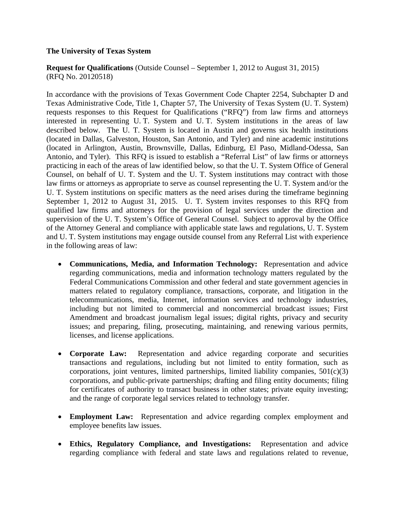## **The University of Texas System**

**Request for Qualifications** (Outside Counsel – September 1, 2012 to August 31, 2015) (RFQ No. 20120518)

In accordance with the provisions of Texas Government Code Chapter 2254, Subchapter D and Texas Administrative Code, Title 1, Chapter 57, The University of Texas System (U. T. System) requests responses to this Request for Qualifications ("RFQ") from law firms and attorneys interested in representing U. T. System and U. T. System institutions in the areas of law described below. The U. T. System is located in Austin and governs six health institutions (located in Dallas, Galveston, Houston, San Antonio, and Tyler) and nine academic institutions (located in Arlington, Austin, Brownsville, Dallas, Edinburg, El Paso, Midland-Odessa, San Antonio, and Tyler). This RFQ is issued to establish a "Referral List" of law firms or attorneys practicing in each of the areas of law identified below, so that the U. T. System Office of General Counsel, on behalf of U. T. System and the U. T. System institutions may contract with those law firms or attorneys as appropriate to serve as counsel representing the U. T. System and/or the U. T. System institutions on specific matters as the need arises during the timeframe beginning September 1, 2012 to August 31, 2015. U. T. System invites responses to this RFQ from qualified law firms and attorneys for the provision of legal services under the direction and supervision of the U. T. System's Office of General Counsel. Subject to approval by the Office of the Attorney General and compliance with applicable state laws and regulations, U. T. System and U. T. System institutions may engage outside counsel from any Referral List with experience in the following areas of law:

- **Communications, Media, and Information Technology:** Representation and advice regarding communications, media and information technology matters regulated by the Federal Communications Commission and other federal and state government agencies in matters related to regulatory compliance, transactions, corporate, and litigation in the telecommunications, media, Internet, information services and technology industries, including but not limited to commercial and noncommercial broadcast issues; First Amendment and broadcast journalism legal issues; digital rights, privacy and security issues; and preparing, filing, prosecuting, maintaining, and renewing various permits, licenses, and license applications.
- **Corporate Law:** Representation and advice regarding corporate and securities transactions and regulations, including but not limited to entity formation, such as corporations, joint ventures, limited partnerships, limited liability companies,  $501(c)(3)$ corporations, and public-private partnerships; drafting and filing entity documents; filing for certificates of authority to transact business in other states; private equity investing; and the range of corporate legal services related to technology transfer.
- **Employment Law:** Representation and advice regarding complex employment and employee benefits law issues.
- **Ethics, Regulatory Compliance, and Investigations:** Representation and advice regarding compliance with federal and state laws and regulations related to revenue,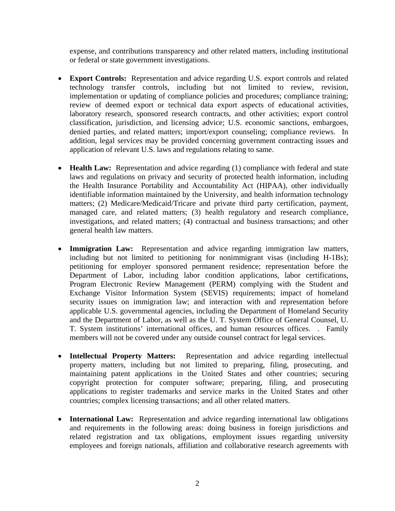expense, and contributions transparency and other related matters, including institutional or federal or state government investigations.

- **Export Controls:** Representation and advice regarding U.S. export controls and related technology transfer controls, including but not limited to review, revision, implementation or updating of compliance policies and procedures; compliance training; review of deemed export or technical data export aspects of educational activities, laboratory research, sponsored research contracts, and other activities; export control classification, jurisdiction, and licensing advice; U.S. economic sanctions, embargoes, denied parties, and related matters; import/export counseling; compliance reviews. In addition, legal services may be provided concerning government contracting issues and application of relevant U.S. laws and regulations relating to same.
- **Health Law:** Representation and advice regarding (1) compliance with federal and state laws and regulations on privacy and security of protected health information, including the Health Insurance Portability and Accountability Act (HIPAA), other individually identifiable information maintained by the University, and health information technology matters; (2) Medicare/Medicaid/Tricare and private third party certification, payment, managed care, and related matters; (3) health regulatory and research compliance, investigations, and related matters; (4) contractual and business transactions; and other general health law matters.
- **Immigration Law:** Representation and advice regarding immigration law matters, including but not limited to petitioning for nonimmigrant visas (including H-1Bs); petitioning for employer sponsored permanent residence; representation before the Department of Labor, including labor condition applications, labor certifications, Program Electronic Review Management (PERM) complying with the Student and Exchange Visitor Information System (SEVIS) requirements; impact of homeland security issues on immigration law; and interaction with and representation before applicable U.S. governmental agencies, including the Department of Homeland Security and the Department of Labor, as well as the U. T. System Office of General Counsel, U. T. System institutions' international offices, and human resources offices. . Family members will not be covered under any outside counsel contract for legal services.
- **Intellectual Property Matters:** Representation and advice regarding intellectual property matters, including but not limited to preparing, filing, prosecuting, and maintaining patent applications in the United States and other countries; securing copyright protection for computer software; preparing, filing, and prosecuting applications to register trademarks and service marks in the United States and other countries; complex licensing transactions; and all other related matters.
- **International Law:** Representation and advice regarding international law obligations and requirements in the following areas: doing business in foreign jurisdictions and related registration and tax obligations, employment issues regarding university employees and foreign nationals, affiliation and collaborative research agreements with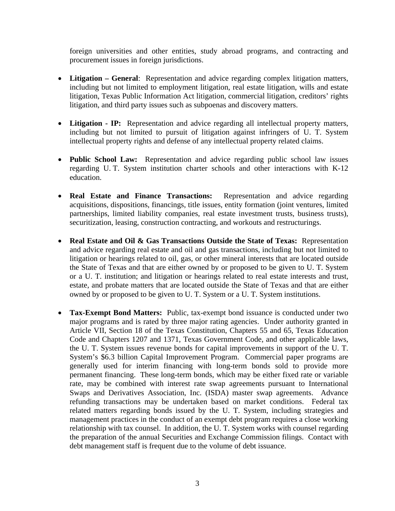foreign universities and other entities, study abroad programs, and contracting and procurement issues in foreign jurisdictions.

- **Litigation General**: Representation and advice regarding complex litigation matters, including but not limited to employment litigation, real estate litigation, wills and estate litigation, Texas Public Information Act litigation, commercial litigation, creditors' rights litigation, and third party issues such as subpoenas and discovery matters.
- **Litigation IP:** Representation and advice regarding all intellectual property matters, including but not limited to pursuit of litigation against infringers of U. T. System intellectual property rights and defense of any intellectual property related claims.
- **Public School Law:** Representation and advice regarding public school law issues regarding U. T. System institution charter schools and other interactions with K-12 education.
- **Real Estate and Finance Transactions:** Representation and advice regarding acquisitions, dispositions, financings, title issues, entity formation (joint ventures, limited partnerships, limited liability companies, real estate investment trusts, business trusts), securitization, leasing, construction contracting, and workouts and restructurings.
- **Real Estate and Oil & Gas Transactions Outside the State of Texas:** Representation and advice regarding real estate and oil and gas transactions, including but not limited to litigation or hearings related to oil, gas, or other mineral interests that are located outside the State of Texas and that are either owned by or proposed to be given to U. T. System or a U. T. institution; and litigation or hearings related to real estate interests and trust, estate, and probate matters that are located outside the State of Texas and that are either owned by or proposed to be given to U. T. System or a U. T. System institutions.
- **Tax-Exempt Bond Matters:** Public, tax-exempt bond issuance is conducted under two major programs and is rated by three major rating agencies. Under authority granted in Article VII, Section 18 of the Texas Constitution, Chapters 55 and 65, Texas Education Code and Chapters 1207 and 1371, Texas Government Code, and other applicable laws, the U. T. System issues revenue bonds for capital improvements in support of the U. T. System's \$6.3 billion Capital Improvement Program. Commercial paper programs are generally used for interim financing with long-term bonds sold to provide more permanent financing. These long-term bonds, which may be either fixed rate or variable rate, may be combined with interest rate swap agreements pursuant to International Swaps and Derivatives Association, Inc. (ISDA) master swap agreements. Advance refunding transactions may be undertaken based on market conditions. Federal tax related matters regarding bonds issued by the U. T. System, including strategies and management practices in the conduct of an exempt debt program requires a close working relationship with tax counsel. In addition, the U. T. System works with counsel regarding the preparation of the annual Securities and Exchange Commission filings. Contact with debt management staff is frequent due to the volume of debt issuance.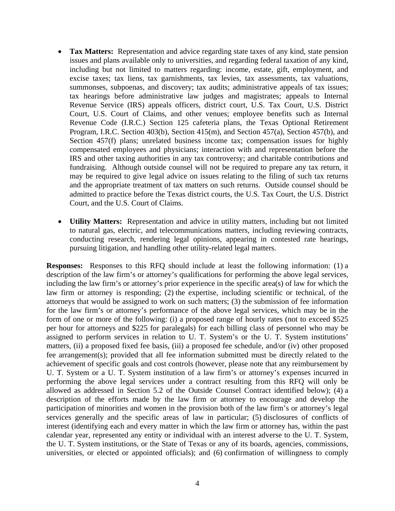- **Tax Matters:** Representation and advice regarding state taxes of any kind, state pension issues and plans available only to universities, and regarding federal taxation of any kind, including but not limited to matters regarding: income, estate, gift, employment, and excise taxes; tax liens, tax garnishments, tax levies, tax assessments, tax valuations, summonses, subpoenas, and discovery; tax audits; administrative appeals of tax issues; tax hearings before administrative law judges and magistrates; appeals to Internal Revenue Service (IRS) appeals officers, district court, U.S. Tax Court, U.S. District Court, U.S. Court of Claims, and other venues; employee benefits such as Internal Revenue Code (I.R.C.) Section 125 cafeteria plans, the Texas Optional Retirement Program, I.R.C. Section 403(b), Section 415(m), and Section 457(a), Section 457(b), and Section 457(f) plans; unrelated business income tax; compensation issues for highly compensated employees and physicians; interaction with and representation before the IRS and other taxing authorities in any tax controversy; and charitable contributions and fundraising. Although outside counsel will not be required to prepare any tax return, it may be required to give legal advice on issues relating to the filing of such tax returns and the appropriate treatment of tax matters on such returns. Outside counsel should be admitted to practice before the Texas district courts, the U.S. Tax Court, the U.S. District Court, and the U.S. Court of Claims.
- **Utility Matters:** Representation and advice in utility matters, including but not limited to natural gas, electric, and telecommunications matters, including reviewing contracts, conducting research, rendering legal opinions, appearing in contested rate hearings, pursuing litigation, and handling other utility-related legal matters.

**Responses:** Responses to this RFQ should include at least the following information: (1) a description of the law firm's or attorney's qualifications for performing the above legal services, including the law firm's or attorney's prior experience in the specific area(s) of law for which the law firm or attorney is responding; (2) the expertise, including scientific or technical, of the attorneys that would be assigned to work on such matters; (3) the submission of fee information for the law firm's or attorney's performance of the above legal services, which may be in the form of one or more of the following: (i) a proposed range of hourly rates (not to exceed \$525 per hour for attorneys and \$225 for paralegals) for each billing class of personnel who may be assigned to perform services in relation to U. T. System's or the U. T. System institutions' matters, (ii) a proposed fixed fee basis, (iii) a proposed fee schedule, and/or (iv) other proposed fee arrangement(s); provided that all fee information submitted must be directly related to the achievement of specific goals and cost controls (however, please note that any reimbursement by U. T. System or a U. T. System institution of a law firm's or attorney's expenses incurred in performing the above legal services under a contract resulting from this RFQ will only be allowed as addressed in Section 5.2 of the Outside Counsel Contract identified below); (4) a description of the efforts made by the law firm or attorney to encourage and develop the participation of minorities and women in the provision both of the law firm's or attorney's legal services generally and the specific areas of law in particular; (5) disclosures of conflicts of interest (identifying each and every matter in which the law firm or attorney has, within the past calendar year, represented any entity or individual with an interest adverse to the U. T. System, the U. T. System institutions, or the State of Texas or any of its boards, agencies, commissions, universities, or elected or appointed officials); and (6) confirmation of willingness to comply